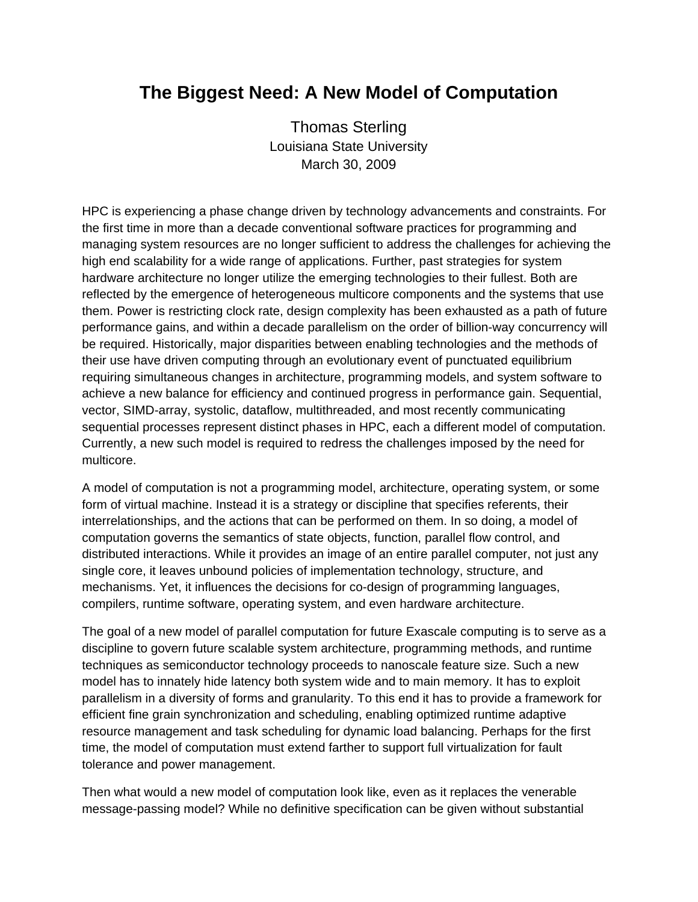## **The Biggest Need: A New Model of Computation**

Thomas Sterling Louisiana State University March 30, 2009

HPC is experiencing a phase change driven by technology advancements and constraints. For the first time in more than a decade conventional software practices for programming and managing system resources are no longer sufficient to address the challenges for achieving the high end scalability for a wide range of applications. Further, past strategies for system hardware architecture no longer utilize the emerging technologies to their fullest. Both are reflected by the emergence of heterogeneous multicore components and the systems that use them. Power is restricting clock rate, design complexity has been exhausted as a path of future performance gains, and within a decade parallelism on the order of billion-way concurrency will be required. Historically, major disparities between enabling technologies and the methods of their use have driven computing through an evolutionary event of punctuated equilibrium requiring simultaneous changes in architecture, programming models, and system software to achieve a new balance for efficiency and continued progress in performance gain. Sequential, vector, SIMD-array, systolic, dataflow, multithreaded, and most recently communicating sequential processes represent distinct phases in HPC, each a different model of computation. Currently, a new such model is required to redress the challenges imposed by the need for multicore.

A model of computation is not a programming model, architecture, operating system, or some form of virtual machine. Instead it is a strategy or discipline that specifies referents, their interrelationships, and the actions that can be performed on them. In so doing, a model of computation governs the semantics of state objects, function, parallel flow control, and distributed interactions. While it provides an image of an entire parallel computer, not just any single core, it leaves unbound policies of implementation technology, structure, and mechanisms. Yet, it influences the decisions for co-design of programming languages, compilers, runtime software, operating system, and even hardware architecture.

The goal of a new model of parallel computation for future Exascale computing is to serve as a discipline to govern future scalable system architecture, programming methods, and runtime techniques as semiconductor technology proceeds to nanoscale feature size. Such a new model has to innately hide latency both system wide and to main memory. It has to exploit parallelism in a diversity of forms and granularity. To this end it has to provide a framework for efficient fine grain synchronization and scheduling, enabling optimized runtime adaptive resource management and task scheduling for dynamic load balancing. Perhaps for the first time, the model of computation must extend farther to support full virtualization for fault tolerance and power management.

Then what would a new model of computation look like, even as it replaces the venerable message-passing model? While no definitive specification can be given without substantial